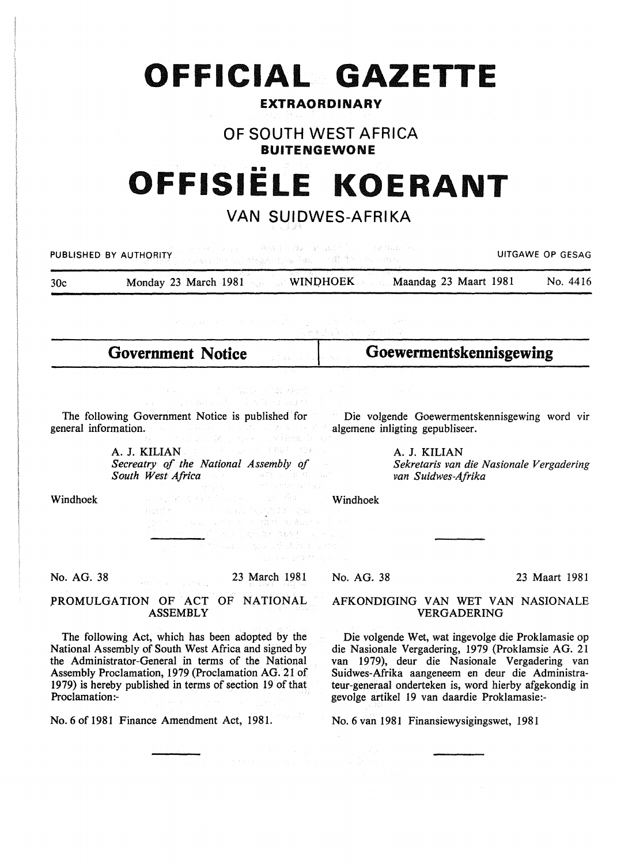# **OFFICIAL GAZETTE**

### **EXTRAORDINARY**

# **OF SOUTH WEST AFRICA BUITENGEWONE**

# •• **OFFISIELE KOERANT**

# **VAN SUIDWES-AFRIKA**

| 网络大脑手术 计编码 化分子 医腹膜 医第二次 人名法阿拉伯 经现金的 医心包<br>UITGAWE OP GESAG<br>PUBLISHED BY AUTHORITY.<br>化硫酸 医红马云 网络最后的名词复数 人名德阿萨利 人名日始教                                                                                                                                                                                                                                                                                                                                                                                                                                                                                                      |                                                                                                                                                                                                       |                                                                                |               |
|--------------------------------------------------------------------------------------------------------------------------------------------------------------------------------------------------------------------------------------------------------------------------------------------------------------------------------------------------------------------------------------------------------------------------------------------------------------------------------------------------------------------------------------------------------------------------------------------------------------------------------|-------------------------------------------------------------------------------------------------------------------------------------------------------------------------------------------------------|--------------------------------------------------------------------------------|---------------|
| 30c                                                                                                                                                                                                                                                                                                                                                                                                                                                                                                                                                                                                                            | Monday 23 March 1981 WINDHOEK Maandag 23 Maart 1981                                                                                                                                                   |                                                                                | No. 4416      |
| 不可以做 医心包 医发育性 经合并的 医白细胞 医骨状的 医三碘<br>医魏斯基氏球菌素                                                                                                                                                                                                                                                                                                                                                                                                                                                                                                                                                                                   |                                                                                                                                                                                                       |                                                                                |               |
|                                                                                                                                                                                                                                                                                                                                                                                                                                                                                                                                                                                                                                | <b>Government Notice</b>                                                                                                                                                                              | Goewermentskennisgewing                                                        |               |
|                                                                                                                                                                                                                                                                                                                                                                                                                                                                                                                                                                                                                                | (3) 中国 (1) 12 的 (1) 指出 (1) (1) (2) (2) (3)<br>(x a consecutive state), 3000 (2014), 4000 (2014), 400                                                                                                  |                                                                                |               |
| The following Government Notice is published for<br>Die volgende Goewermentskennisgewing word vir<br>general information. The contract of the contract of the con-<br>algemene inligting gepubliseer.<br>现在一些成功, 语言是什么 医静脉炎                                                                                                                                                                                                                                                                                                                                                                                                    |                                                                                                                                                                                                       |                                                                                |               |
|                                                                                                                                                                                                                                                                                                                                                                                                                                                                                                                                                                                                                                | A. J. KILIAN and the second of the state of<br>Secreatry of the National Assembly of<br>South West Africa and the second service of the service<br>The country as they                                | A. J. KILIAN<br>Sekretaris van die Nasionale Vergadering<br>van Suidwes-Afrika |               |
| Windhoek                                                                                                                                                                                                                                                                                                                                                                                                                                                                                                                                                                                                                       | 化非酸盐 人名英格兰人姓氏卡尔的变体<br>Half et al. 1999 and the state that<br>(A) 2010 (A) A) (A) 2010 (A) 2011 (A) 2012 (A) 401 (A) 2011<br>3. 1990年には、1992年に対応は388 (3887年)に関すること<br>The commission of the commission | Windhoek                                                                       |               |
|                                                                                                                                                                                                                                                                                                                                                                                                                                                                                                                                                                                                                                | materials of GAS MATERIAL AT                                                                                                                                                                          |                                                                                |               |
| No. AG. 38                                                                                                                                                                                                                                                                                                                                                                                                                                                                                                                                                                                                                     | 23 March 1981<br>経験のように、生活の利益                                                                                                                                                                         | No. AG. 38                                                                     | 23 Maart 1981 |
|                                                                                                                                                                                                                                                                                                                                                                                                                                                                                                                                                                                                                                | PROMULGATION OF ACT OF NATIONAL<br><b>ASSEMBLY</b>                                                                                                                                                    | AFKONDIGING VAN WET VAN NASIONALE<br><b>VERGADERING</b>                        |               |
| The following Act, which has been adopted by the<br>Die volgende Wet, wat ingevolge die Proklamasie op<br>National Assembly of South West Africa and signed by<br>die Nasionale Vergadering, 1979 (Proklamsie AG. 21<br>the Administrator-General in terms of the National<br>van 1979), deur die Nasionale Vergadering van<br>Assembly Proclamation, 1979 (Proclamation AG. 21 of<br>Suidwes-Afrika aangeneem en deur die Administra-<br>1979) is hereby published in terms of section 19 of that<br>teur-generaal onderteken is, word hierby afgekondig in<br>Proclamation:-<br>gevolge artikel 19 van daardie Proklamasie:- |                                                                                                                                                                                                       |                                                                                |               |
| No. 6 of 1981 Finance Amendment Act, 1981.                                                                                                                                                                                                                                                                                                                                                                                                                                                                                                                                                                                     |                                                                                                                                                                                                       | No. 6 van 1981 Finansiewysigingswet, 1981                                      |               |
|                                                                                                                                                                                                                                                                                                                                                                                                                                                                                                                                                                                                                                |                                                                                                                                                                                                       |                                                                                |               |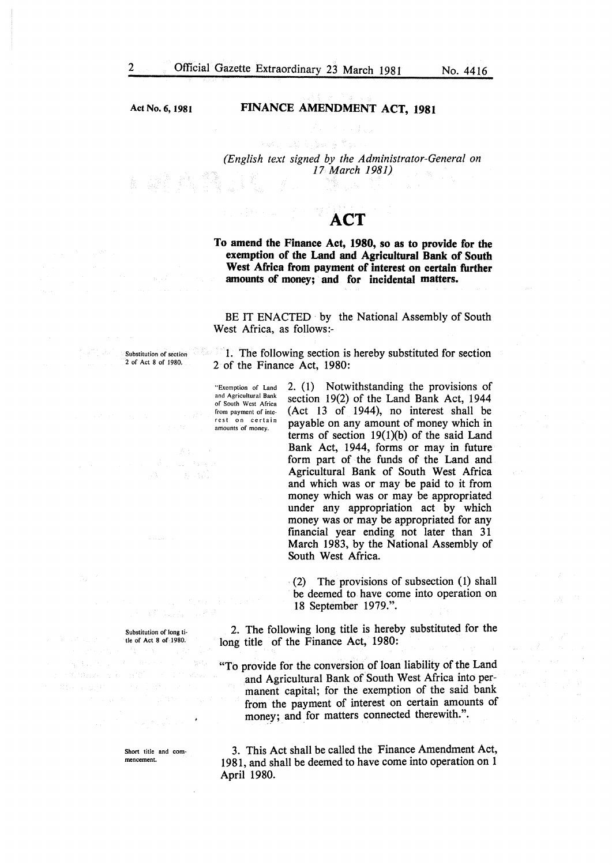Act No.6, 1981

Substitution of section 2 of Act 8 of 1980.

#### FINANCE AMENDMENT ACT, 1981

*(English text signed by the Administrator-General on 17 March 1981)* 

# **ACT**

To amend the Finance Act, 1980, so as to provide for the exemption of the Land and Agricultural Bank of South West Africa from payment of interest on certain further amounts of money; and for incidental matters.

BE IT ENACTED by the National Assembly of South West Africa, as follows:-

1. The following section is hereby substituted for section 2 of the Finance Act, 1980:

"Exemption of Land and Agricultural Bank of South West Africa from payment of interest on certain amounts of money.

2. (I) Notwithstanding the provisions of section 19(2) of the Land Bank Act, 1944 (Act 13 of 1944), no interest shall be payable on any amount of money which in terms of section  $19(1)(b)$  of the said Land Bank Act, 1944, forms or may in future form part of the funds of the Land and Agricultural Bank of South West Mrica and which was or may be paid to it from money which was or may be appropriated under any appropriation act by which money was or may be appropriated for any financial year ending not later than 31 March 1983, by the National Assembly of South West Africa.

(2) The provisions of subsection  $(1)$  shall be deemed to have come into operation on 18 September 1979.".

2. The following long title is hereby substituted for the long title of the Finance Act, 1980:

"To provide for the conversion of loan liability of the Land and Agricultural Bank of South West Africa into permanent capital; for the exemption of the said bank from the payment of interest on certain amounts of money; and for matters connected therewith.".

Short title and com· mencement.

Substitution of long ti· tie of Act 8 of 1980.

> 3. This Act shall be called the Finance Amendment Act, 1981, and shall be deemed to have come into operation on 1 April 1980.